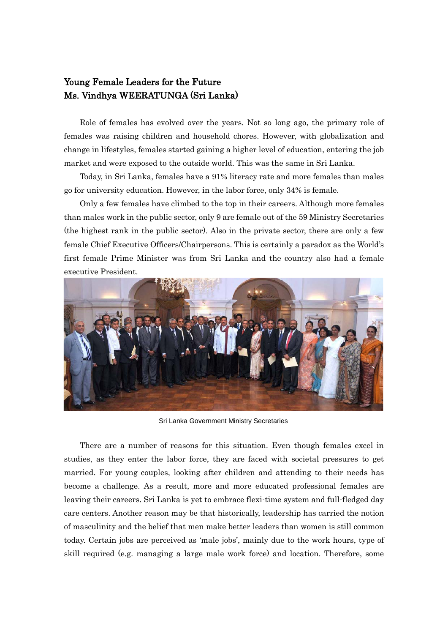## Young Female Leaders for the Future Ms. Vindhya WEERATUNGA (Sri Lanka)

Role of females has evolved over the years. Not so long ago, the primary role of females was raising children and household chores. However, with globalization and change in lifestyles, females started gaining a higher level of education, entering the job market and were exposed to the outside world. This was the same in Sri Lanka.

Today, in Sri Lanka, females have a 91% literacy rate and more females than males go for university education. However, in the labor force, only 34% is female.

Only a few females have climbed to the top in their careers. Although more females than males work in the public sector, only 9 are female out of the 59 Ministry Secretaries (the highest rank in the public sector). Also in the private sector, there are only a few female Chief Executive Officers/Chairpersons. This is certainly a paradox as the World's first female Prime Minister was from Sri Lanka and the country also had a female executive President.



Sri Lanka Government Ministry Secretaries

There are a number of reasons for this situation. Even though females excel in studies, as they enter the labor force, they are faced with societal pressures to get married. For young couples, looking after children and attending to their needs has become a challenge. As a result, more and more educated professional females are leaving their careers. Sri Lanka is yet to embrace flexi-time system and full-fledged day care centers. Another reason may be that historically, leadership has carried the notion of masculinity and the belief that men make better leaders than women is still common today. Certain jobs are perceived as 'male jobs', mainly due to the work hours, type of skill required (e.g. managing a large male work force) and location. Therefore, some